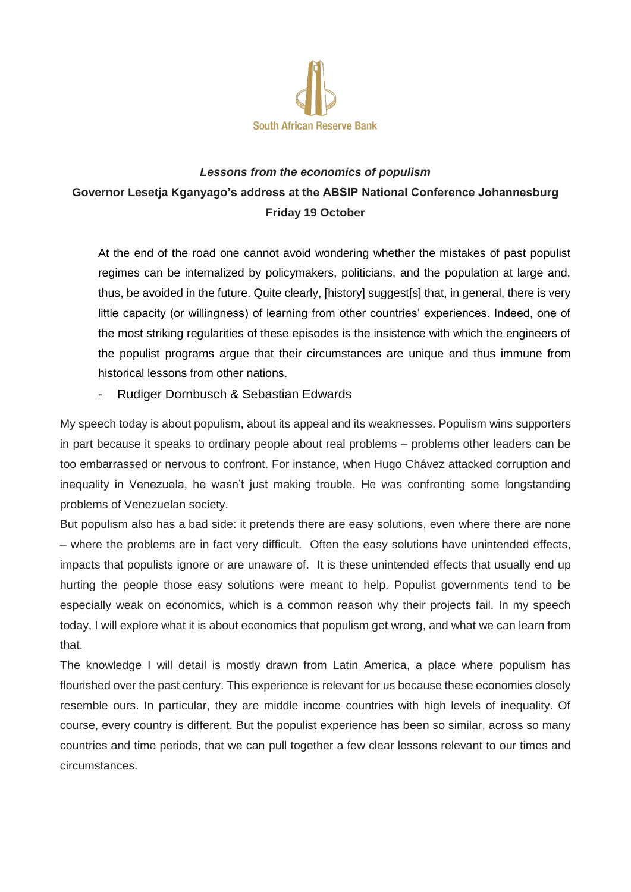

## *Lessons from the economics of populism* **Governor Lesetja Kganyago's address at the ABSIP National Conference Johannesburg Friday 19 October**

At the end of the road one cannot avoid wondering whether the mistakes of past populist regimes can be internalized by policymakers, politicians, and the population at large and, thus, be avoided in the future. Quite clearly, [history] suggest[s] that, in general, there is very little capacity (or willingness) of learning from other countries' experiences. Indeed, one of the most striking regularities of these episodes is the insistence with which the engineers of the populist programs argue that their circumstances are unique and thus immune from historical lessons from other nations.

## - Rudiger Dornbusch & Sebastian Edwards

My speech today is about populism, about its appeal and its weaknesses. Populism wins supporters in part because it speaks to ordinary people about real problems – problems other leaders can be too embarrassed or nervous to confront. For instance, when Hugo Chávez attacked corruption and inequality in Venezuela, he wasn't just making trouble. He was confronting some longstanding problems of Venezuelan society.

But populism also has a bad side: it pretends there are easy solutions, even where there are none – where the problems are in fact very difficult. Often the easy solutions have unintended effects, impacts that populists ignore or are unaware of. It is these unintended effects that usually end up hurting the people those easy solutions were meant to help. Populist governments tend to be especially weak on economics, which is a common reason why their projects fail. In my speech today, I will explore what it is about economics that populism get wrong, and what we can learn from that.

The knowledge I will detail is mostly drawn from Latin America, a place where populism has flourished over the past century. This experience is relevant for us because these economies closely resemble ours. In particular, they are middle income countries with high levels of inequality. Of course, every country is different. But the populist experience has been so similar, across so many countries and time periods, that we can pull together a few clear lessons relevant to our times and circumstances.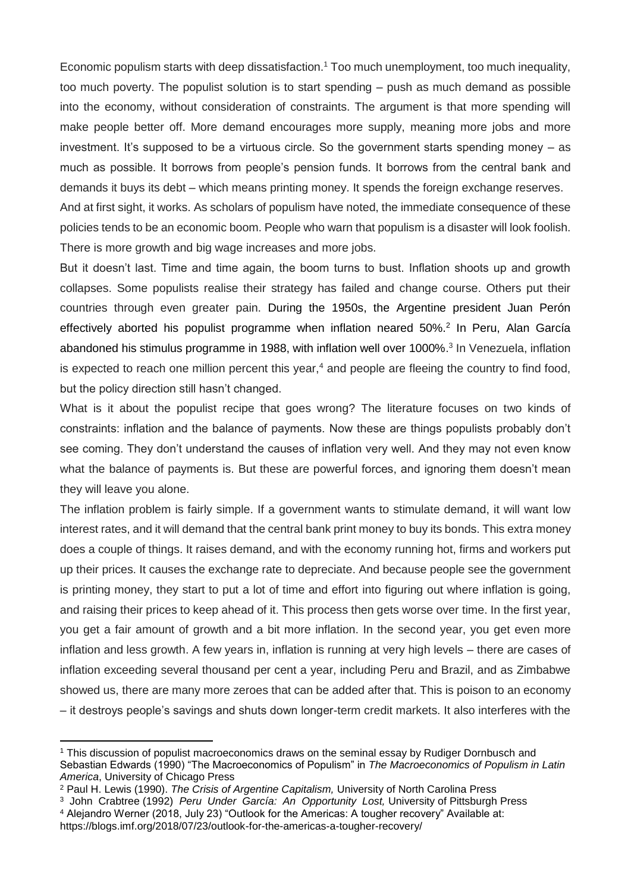Economic populism starts with deep dissatisfaction.<sup>1</sup> Too much unemployment, too much inequality, too much poverty. The populist solution is to start spending – push as much demand as possible into the economy, without consideration of constraints. The argument is that more spending will make people better off. More demand encourages more supply, meaning more jobs and more investment. It's supposed to be a virtuous circle. So the government starts spending money – as much as possible. It borrows from people's pension funds. It borrows from the central bank and demands it buys its debt – which means printing money. It spends the foreign exchange reserves.

And at first sight, it works. As scholars of populism have noted, the immediate consequence of these policies tends to be an economic boom. People who warn that populism is a disaster will look foolish. There is more growth and big wage increases and more jobs.

But it doesn't last. Time and time again, the boom turns to bust. Inflation shoots up and growth collapses. Some populists realise their strategy has failed and change course. Others put their countries through even greater pain. During the 1950s, the Argentine president Juan Perón effectively aborted his populist programme when inflation neared 50%.<sup>2</sup> In Peru, Alan García abandoned his stimulus programme in 1988, with inflation well over 1000%. 3 In Venezuela, inflation is expected to reach one million percent this year, $4$  and people are fleeing the country to find food, but the policy direction still hasn't changed.

What is it about the populist recipe that goes wrong? The literature focuses on two kinds of constraints: inflation and the balance of payments. Now these are things populists probably don't see coming. They don't understand the causes of inflation very well. And they may not even know what the balance of payments is. But these are powerful forces, and ignoring them doesn't mean they will leave you alone.

The inflation problem is fairly simple. If a government wants to stimulate demand, it will want low interest rates, and it will demand that the central bank print money to buy its bonds. This extra money does a couple of things. It raises demand, and with the economy running hot, firms and workers put up their prices. It causes the exchange rate to depreciate. And because people see the government is printing money, they start to put a lot of time and effort into figuring out where inflation is going, and raising their prices to keep ahead of it. This process then gets worse over time. In the first year, you get a fair amount of growth and a bit more inflation. In the second year, you get even more inflation and less growth. A few years in, inflation is running at very high levels – there are cases of inflation exceeding several thousand per cent a year, including Peru and Brazil, and as Zimbabwe showed us, there are many more zeroes that can be added after that. This is poison to an economy – it destroys people's savings and shuts down longer-term credit markets. It also interferes with the

 $\overline{a}$ 

<sup>1</sup> This discussion of populist macroeconomics draws on the seminal essay by Rudiger Dornbusch and Sebastian Edwards (1990) "The Macroeconomics of Populism" in *The Macroeconomics of Populism in Latin America*, University of Chicago Press

<sup>2</sup> Paul H. Lewis (1990). *The Crisis of Argentine Capitalism,* University of North Carolina Press

<sup>&</sup>lt;sup>3</sup> John Crabtree (1992) *Peru Under García: An Opportunity Lost,* University of Pittsburgh Press <sup>4</sup> Alejandro Werner (2018, July 23) "Outlook for the Americas: A tougher recovery" Available at:

https://blogs.imf.org/2018/07/23/outlook-for-the-americas-a-tougher-recovery/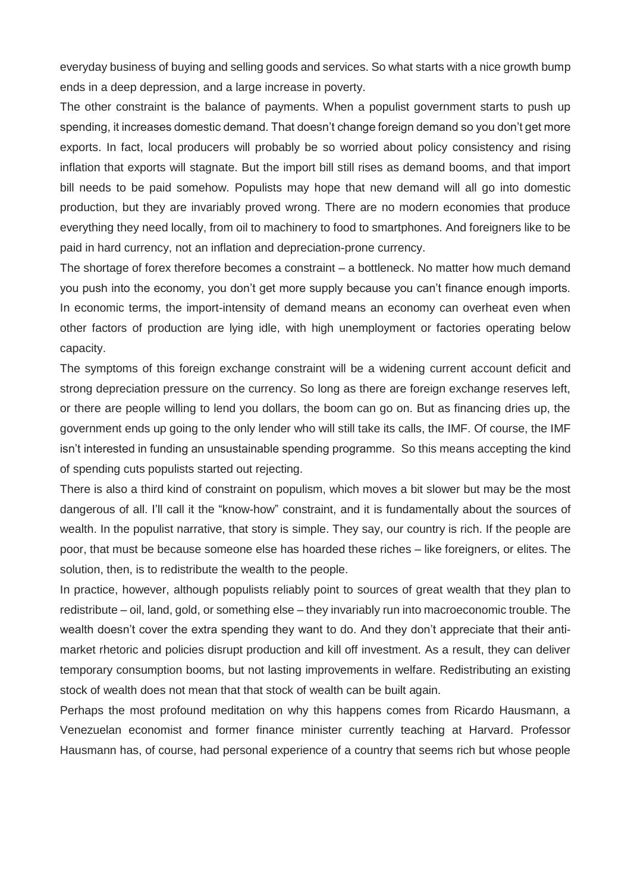everyday business of buying and selling goods and services. So what starts with a nice growth bump ends in a deep depression, and a large increase in poverty.

The other constraint is the balance of payments. When a populist government starts to push up spending, it increases domestic demand. That doesn't change foreign demand so you don't get more exports. In fact, local producers will probably be so worried about policy consistency and rising inflation that exports will stagnate. But the import bill still rises as demand booms, and that import bill needs to be paid somehow. Populists may hope that new demand will all go into domestic production, but they are invariably proved wrong. There are no modern economies that produce everything they need locally, from oil to machinery to food to smartphones. And foreigners like to be paid in hard currency, not an inflation and depreciation-prone currency.

The shortage of forex therefore becomes a constraint – a bottleneck. No matter how much demand you push into the economy, you don't get more supply because you can't finance enough imports. In economic terms, the import-intensity of demand means an economy can overheat even when other factors of production are lying idle, with high unemployment or factories operating below capacity.

The symptoms of this foreign exchange constraint will be a widening current account deficit and strong depreciation pressure on the currency. So long as there are foreign exchange reserves left, or there are people willing to lend you dollars, the boom can go on. But as financing dries up, the government ends up going to the only lender who will still take its calls, the IMF. Of course, the IMF isn't interested in funding an unsustainable spending programme. So this means accepting the kind of spending cuts populists started out rejecting.

There is also a third kind of constraint on populism, which moves a bit slower but may be the most dangerous of all. I'll call it the "know-how" constraint, and it is fundamentally about the sources of wealth. In the populist narrative, that story is simple. They say, our country is rich. If the people are poor, that must be because someone else has hoarded these riches – like foreigners, or elites. The solution, then, is to redistribute the wealth to the people.

In practice, however, although populists reliably point to sources of great wealth that they plan to redistribute – oil, land, gold, or something else – they invariably run into macroeconomic trouble. The wealth doesn't cover the extra spending they want to do. And they don't appreciate that their antimarket rhetoric and policies disrupt production and kill off investment. As a result, they can deliver temporary consumption booms, but not lasting improvements in welfare. Redistributing an existing stock of wealth does not mean that that stock of wealth can be built again.

Perhaps the most profound meditation on why this happens comes from Ricardo Hausmann, a Venezuelan economist and former finance minister currently teaching at Harvard. Professor Hausmann has, of course, had personal experience of a country that seems rich but whose people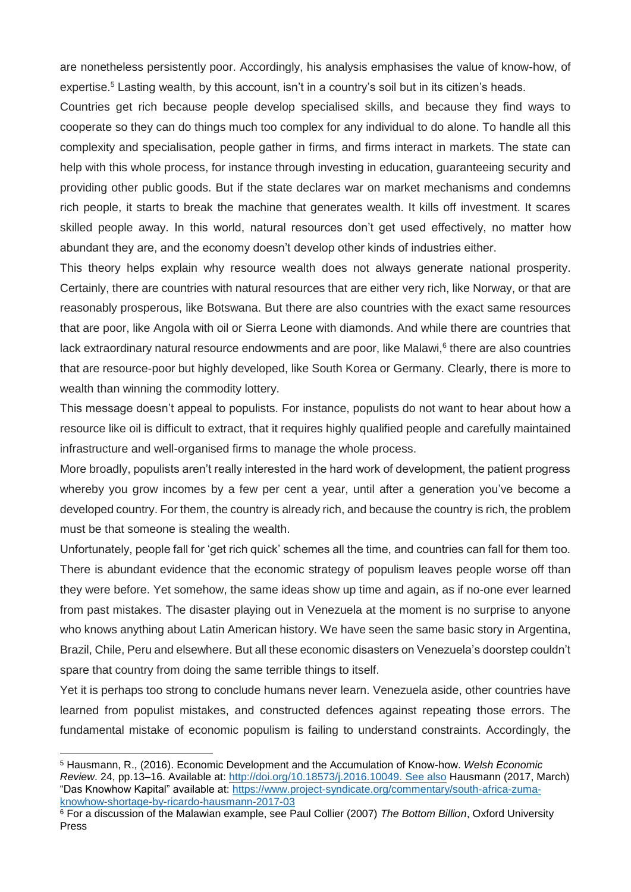are nonetheless persistently poor. Accordingly, his analysis emphasises the value of know-how, of expertise.<sup>5</sup> Lasting wealth, by this account, isn't in a country's soil but in its citizen's heads.

Countries get rich because people develop specialised skills, and because they find ways to cooperate so they can do things much too complex for any individual to do alone. To handle all this complexity and specialisation, people gather in firms, and firms interact in markets. The state can help with this whole process, for instance through investing in education, guaranteeing security and providing other public goods. But if the state declares war on market mechanisms and condemns rich people, it starts to break the machine that generates wealth. It kills off investment. It scares skilled people away. In this world, natural resources don't get used effectively, no matter how abundant they are, and the economy doesn't develop other kinds of industries either.

This theory helps explain why resource wealth does not always generate national prosperity. Certainly, there are countries with natural resources that are either very rich, like Norway, or that are reasonably prosperous, like Botswana. But there are also countries with the exact same resources that are poor, like Angola with oil or Sierra Leone with diamonds. And while there are countries that lack extraordinary natural resource endowments and are poor, like Malawi,<sup>6</sup> there are also countries that are resource-poor but highly developed, like South Korea or Germany. Clearly, there is more to wealth than winning the commodity lottery.

This message doesn't appeal to populists. For instance, populists do not want to hear about how a resource like oil is difficult to extract, that it requires highly qualified people and carefully maintained infrastructure and well-organised firms to manage the whole process.

More broadly, populists aren't really interested in the hard work of development, the patient progress whereby you grow incomes by a few per cent a year, until after a generation you've become a developed country. For them, the country is already rich, and because the country is rich, the problem must be that someone is stealing the wealth.

Unfortunately, people fall for 'get rich quick' schemes all the time, and countries can fall for them too. There is abundant evidence that the economic strategy of populism leaves people worse off than they were before. Yet somehow, the same ideas show up time and again, as if no-one ever learned from past mistakes. The disaster playing out in Venezuela at the moment is no surprise to anyone who knows anything about Latin American history. We have seen the same basic story in Argentina, Brazil, Chile, Peru and elsewhere. But all these economic disasters on Venezuela's doorstep couldn't spare that country from doing the same terrible things to itself.

Yet it is perhaps too strong to conclude humans never learn. Venezuela aside, other countries have learned from populist mistakes, and constructed defences against repeating those errors. The fundamental mistake of economic populism is failing to understand constraints. Accordingly, the

**.** 

<sup>5</sup> Hausmann, R., (2016). Economic Development and the Accumulation of Know-how. *Welsh Economic Review*. 24, pp.13–16. Available at: [http://doi.org/10.18573/j.2016.10049.](http://doi.org/10.18573/j.2016.10049) See also Hausmann (2017, March) "Das Knowhow Kapital" available at: [https://www.project-syndicate.org/commentary/south-africa-zuma](https://www.project-syndicate.org/commentary/south-africa-zuma-knowhow-shortage-by-ricardo-hausmann-2017-03)[knowhow-shortage-by-ricardo-hausmann-2017-03](https://www.project-syndicate.org/commentary/south-africa-zuma-knowhow-shortage-by-ricardo-hausmann-2017-03)

<sup>6</sup> For a discussion of the Malawian example, see Paul Collier (2007) *The Bottom Billion*, Oxford University Press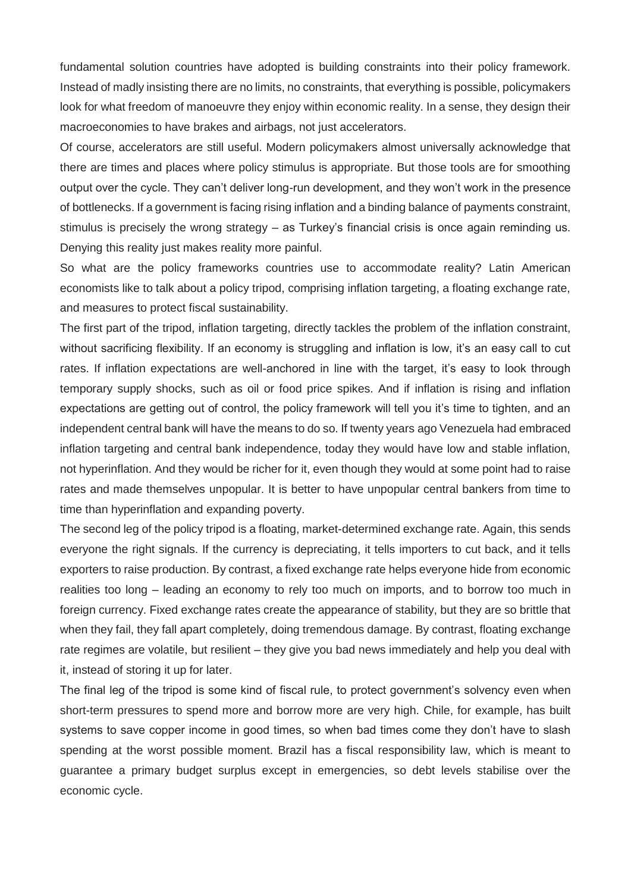fundamental solution countries have adopted is building constraints into their policy framework. Instead of madly insisting there are no limits, no constraints, that everything is possible, policymakers look for what freedom of manoeuvre they enjoy within economic reality. In a sense, they design their macroeconomies to have brakes and airbags, not just accelerators.

Of course, accelerators are still useful. Modern policymakers almost universally acknowledge that there are times and places where policy stimulus is appropriate. But those tools are for smoothing output over the cycle. They can't deliver long-run development, and they won't work in the presence of bottlenecks. If a government is facing rising inflation and a binding balance of payments constraint, stimulus is precisely the wrong strategy – as Turkey's financial crisis is once again reminding us. Denying this reality just makes reality more painful.

So what are the policy frameworks countries use to accommodate reality? Latin American economists like to talk about a policy tripod, comprising inflation targeting, a floating exchange rate, and measures to protect fiscal sustainability.

The first part of the tripod, inflation targeting, directly tackles the problem of the inflation constraint, without sacrificing flexibility. If an economy is struggling and inflation is low, it's an easy call to cut rates. If inflation expectations are well-anchored in line with the target, it's easy to look through temporary supply shocks, such as oil or food price spikes. And if inflation is rising and inflation expectations are getting out of control, the policy framework will tell you it's time to tighten, and an independent central bank will have the means to do so. If twenty years ago Venezuela had embraced inflation targeting and central bank independence, today they would have low and stable inflation, not hyperinflation. And they would be richer for it, even though they would at some point had to raise rates and made themselves unpopular. It is better to have unpopular central bankers from time to time than hyperinflation and expanding poverty.

The second leg of the policy tripod is a floating, market-determined exchange rate. Again, this sends everyone the right signals. If the currency is depreciating, it tells importers to cut back, and it tells exporters to raise production. By contrast, a fixed exchange rate helps everyone hide from economic realities too long – leading an economy to rely too much on imports, and to borrow too much in foreign currency. Fixed exchange rates create the appearance of stability, but they are so brittle that when they fail, they fall apart completely, doing tremendous damage. By contrast, floating exchange rate regimes are volatile, but resilient – they give you bad news immediately and help you deal with it, instead of storing it up for later.

The final leg of the tripod is some kind of fiscal rule, to protect government's solvency even when short-term pressures to spend more and borrow more are very high. Chile, for example, has built systems to save copper income in good times, so when bad times come they don't have to slash spending at the worst possible moment. Brazil has a fiscal responsibility law, which is meant to guarantee a primary budget surplus except in emergencies, so debt levels stabilise over the economic cycle.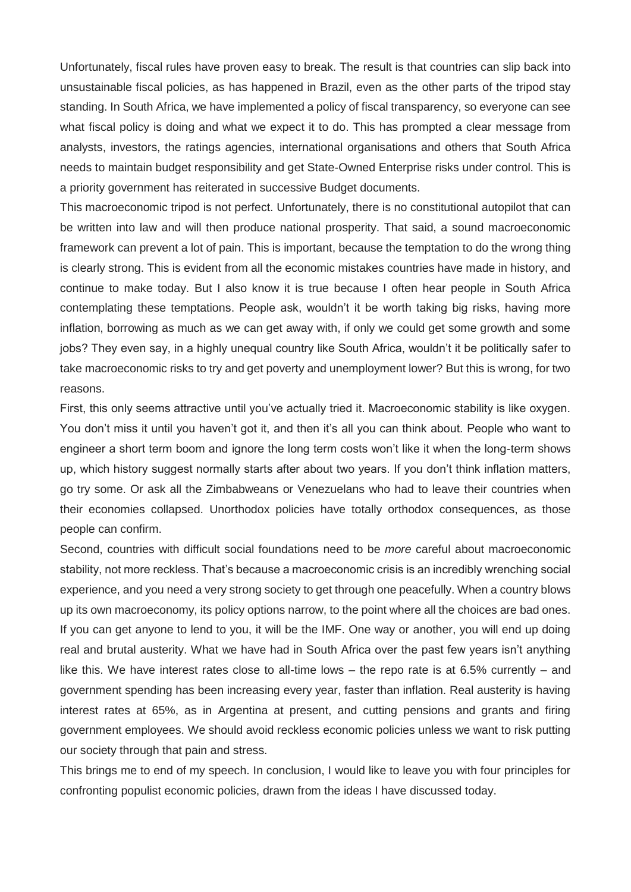Unfortunately, fiscal rules have proven easy to break. The result is that countries can slip back into unsustainable fiscal policies, as has happened in Brazil, even as the other parts of the tripod stay standing. In South Africa, we have implemented a policy of fiscal transparency, so everyone can see what fiscal policy is doing and what we expect it to do. This has prompted a clear message from analysts, investors, the ratings agencies, international organisations and others that South Africa needs to maintain budget responsibility and get State-Owned Enterprise risks under control. This is a priority government has reiterated in successive Budget documents.

This macroeconomic tripod is not perfect. Unfortunately, there is no constitutional autopilot that can be written into law and will then produce national prosperity. That said, a sound macroeconomic framework can prevent a lot of pain. This is important, because the temptation to do the wrong thing is clearly strong. This is evident from all the economic mistakes countries have made in history, and continue to make today. But I also know it is true because I often hear people in South Africa contemplating these temptations. People ask, wouldn't it be worth taking big risks, having more inflation, borrowing as much as we can get away with, if only we could get some growth and some jobs? They even say, in a highly unequal country like South Africa, wouldn't it be politically safer to take macroeconomic risks to try and get poverty and unemployment lower? But this is wrong, for two reasons.

First, this only seems attractive until you've actually tried it. Macroeconomic stability is like oxygen. You don't miss it until you haven't got it, and then it's all you can think about. People who want to engineer a short term boom and ignore the long term costs won't like it when the long-term shows up, which history suggest normally starts after about two years. If you don't think inflation matters, go try some. Or ask all the Zimbabweans or Venezuelans who had to leave their countries when their economies collapsed. Unorthodox policies have totally orthodox consequences, as those people can confirm.

Second, countries with difficult social foundations need to be *more* careful about macroeconomic stability, not more reckless. That's because a macroeconomic crisis is an incredibly wrenching social experience, and you need a very strong society to get through one peacefully. When a country blows up its own macroeconomy, its policy options narrow, to the point where all the choices are bad ones. If you can get anyone to lend to you, it will be the IMF. One way or another, you will end up doing real and brutal austerity. What we have had in South Africa over the past few years isn't anything like this. We have interest rates close to all-time lows – the repo rate is at 6.5% currently – and government spending has been increasing every year, faster than inflation. Real austerity is having interest rates at 65%, as in Argentina at present, and cutting pensions and grants and firing government employees. We should avoid reckless economic policies unless we want to risk putting our society through that pain and stress.

This brings me to end of my speech. In conclusion, I would like to leave you with four principles for confronting populist economic policies, drawn from the ideas I have discussed today.